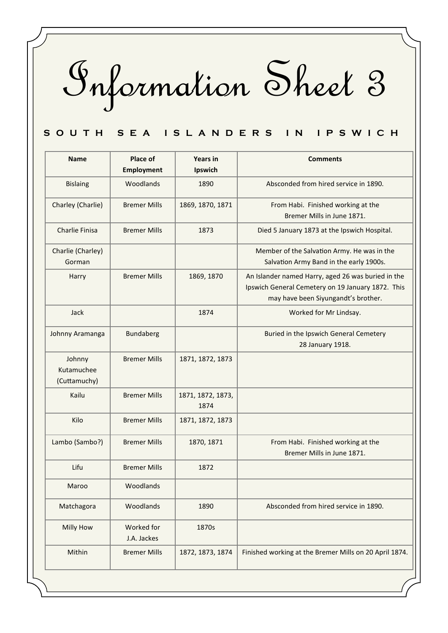Information Sheet 3

## S O U T H S E A I S L A N D E R S I N I P S W I C H

| <b>Name</b>                          | Place of<br><b>Employment</b> | <b>Years in</b><br>Ipswich | <b>Comments</b>                                                                                                                                |
|--------------------------------------|-------------------------------|----------------------------|------------------------------------------------------------------------------------------------------------------------------------------------|
| <b>Bislaing</b>                      | Woodlands                     | 1890                       | Absconded from hired service in 1890.                                                                                                          |
| Charley (Charlie)                    | <b>Bremer Mills</b>           | 1869, 1870, 1871           | From Habi. Finished working at the<br>Bremer Mills in June 1871.                                                                               |
| <b>Charlie Finisa</b>                | <b>Bremer Mills</b>           | 1873                       | Died 5 January 1873 at the Ipswich Hospital.                                                                                                   |
| Charlie (Charley)<br>Gorman          |                               |                            | Member of the Salvation Army. He was in the<br>Salvation Army Band in the early 1900s.                                                         |
| Harry                                | <b>Bremer Mills</b>           | 1869, 1870                 | An Islander named Harry, aged 26 was buried in the<br>Ipswich General Cemetery on 19 January 1872. This<br>may have been Siyungandt's brother. |
| Jack                                 |                               | 1874                       | Worked for Mr Lindsay.                                                                                                                         |
| Johnny Aramanga                      | <b>Bundaberg</b>              |                            | Buried in the Ipswich General Cemetery<br>28 January 1918.                                                                                     |
| Johnny<br>Kutamuchee<br>(Cuttamuchy) | <b>Bremer Mills</b>           | 1871, 1872, 1873           |                                                                                                                                                |
| Kailu                                | <b>Bremer Mills</b>           | 1871, 1872, 1873,<br>1874  |                                                                                                                                                |
| Kilo                                 | <b>Bremer Mills</b>           | 1871, 1872, 1873           |                                                                                                                                                |
| Lambo (Sambo?)                       | <b>Bremer Mills</b>           | 1870, 1871                 | From Habi. Finished working at the<br>Bremer Mills in June 1871.                                                                               |
| Lifu                                 | <b>Bremer Mills</b>           | 1872                       |                                                                                                                                                |
| Maroo                                | Woodlands                     |                            |                                                                                                                                                |
| Matchagora                           | Woodlands                     | 1890                       | Absconded from hired service in 1890.                                                                                                          |
| Milly How                            | Worked for<br>J.A. Jackes     | 1870s                      |                                                                                                                                                |
| Mithin                               | <b>Bremer Mills</b>           | 1872, 1873, 1874           | Finished working at the Bremer Mills on 20 April 1874.                                                                                         |